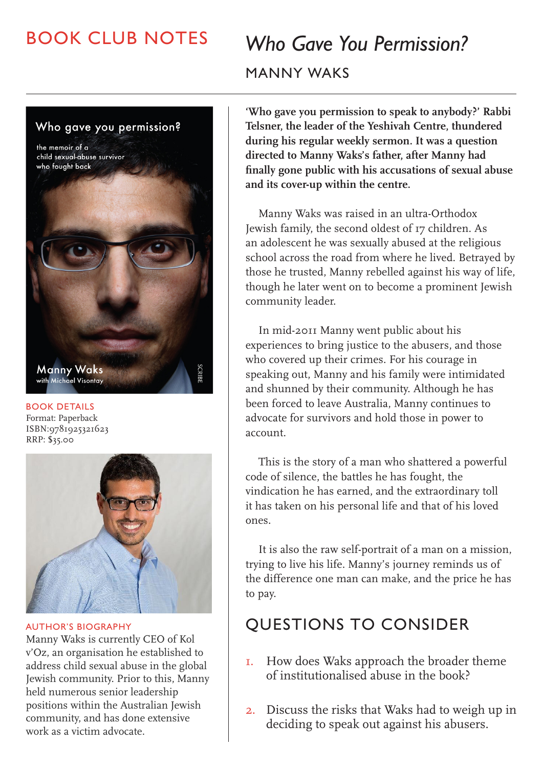## BOOK CLUB NOTES

# *Who Gave You Permission?* MANNY WAKS

Who gave you permission? the memoir of a child sexual-abuse survivor who fought back **Manny Waks**<br>with Michael Visontay

BOOK DETAILS Format: Paperback ISBN:9781925321623 RRP: \$35.00



AUTHOR'S BIOGRAPHY

Manny Waks is currently CEO of Kol v'Oz, an organisation he established to address child sexual abuse in the global Jewish community. Prior to this, Manny held numerous senior leadership positions within the Australian Jewish community, and has done extensive work as a victim advocate.

**'Who gave you permission to speak to anybody?' Rabbi Telsner, the leader of the Yeshivah Centre, thundered during his regular weekly sermon. It was a question directed to Manny Waks's father, after Manny had finally gone public with his accusations of sexual abuse and its cover-up within the centre.**

Manny Waks was raised in an ultra-Orthodox Jewish family, the second oldest of 17 children. As an adolescent he was sexually abused at the religious school across the road from where he lived. Betrayed by those he trusted, Manny rebelled against his way of life, though he later went on to become a prominent Jewish community leader.

In mid-2011 Manny went public about his experiences to bring justice to the abusers, and those who covered up their crimes. For his courage in speaking out, Manny and his family were intimidated and shunned by their community. Although he has been forced to leave Australia, Manny continues to advocate for survivors and hold those in power to account.

This is the story of a man who shattered a powerful code of silence, the battles he has fought, the vindication he has earned, and the extraordinary toll it has taken on his personal life and that of his loved ones.

It is also the raw self-portrait of a man on a mission, trying to live his life. Manny's journey reminds us of the difference one man can make, and the price he has to pay.

#### QUESTIONS TO CONSIDER

- 1. How does Waks approach the broader theme of institutionalised abuse in the book?
- 2. Discuss the risks that Waks had to weigh up in deciding to speak out against his abusers.